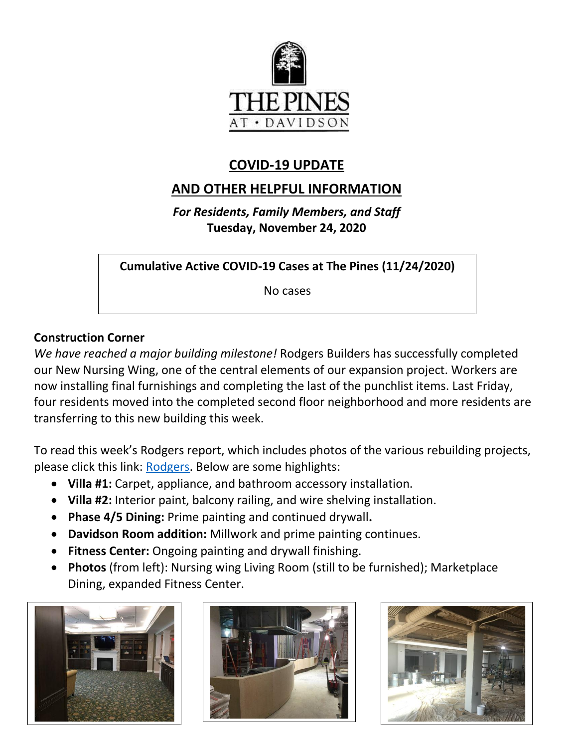

# **COVID-19 UPDATE**

# **AND OTHER HELPFUL INFORMATION**

*For Residents, Family Members, and Staff* **Tuesday, November 24, 2020**

**Cumulative Active COVID-19 Cases at The Pines (11/24/2020)**

No cases

# **Construction Corner**

*We have reached a major building milestone!* Rodgers Builders has successfully completed our New Nursing Wing, one of the central elements of our expansion project. Workers are now installing final furnishings and completing the last of the punchlist items. Last Friday, four residents moved into the completed second floor neighborhood and more residents are transferring to this new building this week.

To read this week's Rodgers report, which includes photos of the various rebuilding projects, please click this link: [Rodgers.](https://www.mycommunity-center.com/filephotos/463/2020-11-20%20Weekly%20Update.pdf) Below are some highlights:

- **Villa #1:** Carpet, appliance, and bathroom accessory installation.
- **Villa #2:** Interior paint, balcony railing, and wire shelving installation.
- **Phase 4/5 Dining:** Prime painting and continued drywall**.**
- **Davidson Room addition:** Millwork and prime painting continues.
- **Fitness Center:** Ongoing painting and drywall finishing.
- **Photos** (from left): Nursing wing Living Room (still to be furnished); Marketplace Dining, expanded Fitness Center.





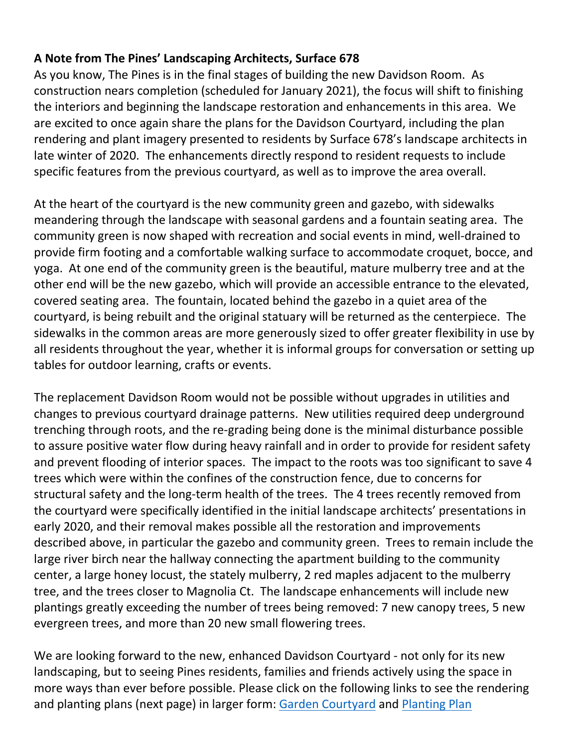# **A Note from The Pines' Landscaping Architects, Surface 678**

As you know, The Pines is in the final stages of building the new Davidson Room. As construction nears completion (scheduled for January 2021), the focus will shift to finishing the interiors and beginning the landscape restoration and enhancements in this area. We are excited to once again share the plans for the Davidson Courtyard, including the plan rendering and plant imagery presented to residents by Surface 678's landscape architects in late winter of 2020. The enhancements directly respond to resident requests to include specific features from the previous courtyard, as well as to improve the area overall.

At the heart of the courtyard is the new community green and gazebo, with sidewalks meandering through the landscape with seasonal gardens and a fountain seating area. The community green is now shaped with recreation and social events in mind, well-drained to provide firm footing and a comfortable walking surface to accommodate croquet, bocce, and yoga. At one end of the community green is the beautiful, mature mulberry tree and at the other end will be the new gazebo, which will provide an accessible entrance to the elevated, covered seating area. The fountain, located behind the gazebo in a quiet area of the courtyard, is being rebuilt and the original statuary will be returned as the centerpiece. The sidewalks in the common areas are more generously sized to offer greater flexibility in use by all residents throughout the year, whether it is informal groups for conversation or setting up tables for outdoor learning, crafts or events.

The replacement Davidson Room would not be possible without upgrades in utilities and changes to previous courtyard drainage patterns. New utilities required deep underground trenching through roots, and the re-grading being done is the minimal disturbance possible to assure positive water flow during heavy rainfall and in order to provide for resident safety and prevent flooding of interior spaces. The impact to the roots was too significant to save 4 trees which were within the confines of the construction fence, due to concerns for structural safety and the long-term health of the trees. The 4 trees recently removed from the courtyard were specifically identified in the initial landscape architects' presentations in early 2020, and their removal makes possible all the restoration and improvements described above, in particular the gazebo and community green. Trees to remain include the large river birch near the hallway connecting the apartment building to the community center, a large honey locust, the stately mulberry, 2 red maples adjacent to the mulberry tree, and the trees closer to Magnolia Ct. The landscape enhancements will include new plantings greatly exceeding the number of trees being removed: 7 new canopy trees, 5 new evergreen trees, and more than 20 new small flowering trees.

We are looking forward to the new, enhanced Davidson Courtyard - not only for its new landscaping, but to seeing Pines residents, families and friends actively using the space in more ways than ever before possible. Please click on the following links to see the rendering and planting plans (next page) in larger form: [Garden Courtyard](https://www.mycommunity-center.com/filephotos/463/Garden%20Courtyard.JPG) and [Planting Plan](https://www.mycommunity-center.com/filephotos/463/courtyard%20perennials.JPG)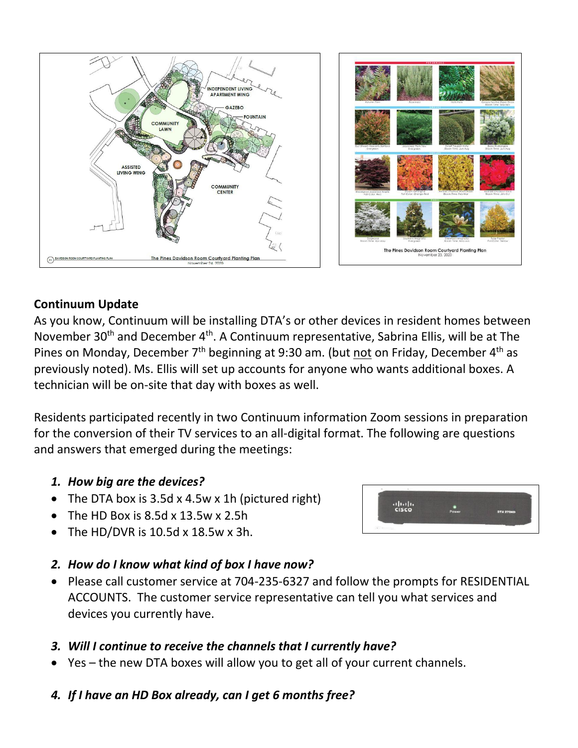



# **Continuum Update**

As you know, Continuum will be installing DTA's or other devices in resident homes between November 30<sup>th</sup> and December 4<sup>th</sup>. A Continuum representative, Sabrina Ellis, will be at The Pines on Monday, December 7<sup>th</sup> beginning at 9:30 am. (but not on Friday, December 4<sup>th</sup> as previously noted). Ms. Ellis will set up accounts for anyone who wants additional boxes. A technician will be on-site that day with boxes as well.

Residents participated recently in two Continuum information Zoom sessions in preparation for the conversion of their TV services to an all-digital format. The following are questions and answers that emerged during the meetings:

# *1. How big are the devices?*

- The DTA box is  $3.5d \times 4.5w \times 1h$  (pictured right)
- The HD Box is 8.5d x 13.5w x 2.5h
- The HD/DVR is 10.5d x 18.5w x 3h.



 Please call customer service at 704-235-6327 and follow the prompts for RESIDENTIAL ACCOUNTS. The customer service representative can tell you what services and devices you currently have.

# *3. Will I continue to receive the channels that I currently have?*

- Yes the new DTA boxes will allow you to get all of your current channels.
- *4. If I have an HD Box already, can I get 6 months free?*

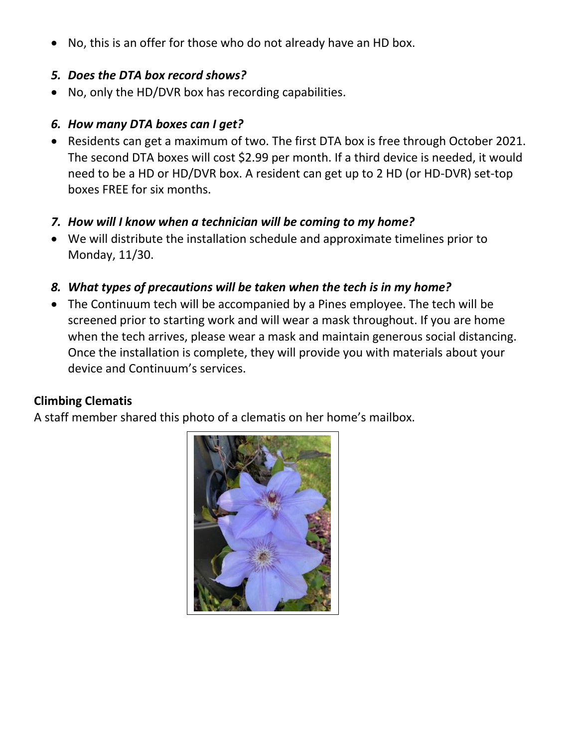No, this is an offer for those who do not already have an HD box.

#### *5. Does the DTA box record shows?*

No, only the HD/DVR box has recording capabilities.

# *6. How many DTA boxes can I get?*

 Residents can get a maximum of two. The first DTA box is free through October 2021. The second DTA boxes will cost \$2.99 per month. If a third device is needed, it would need to be a HD or HD/DVR box. A resident can get up to 2 HD (or HD-DVR) set-top boxes FREE for six months.

# *7. How will I know when a technician will be coming to my home?*

 We will distribute the installation schedule and approximate timelines prior to Monday, 11/30.

# *8. What types of precautions will be taken when the tech is in my home?*

 The Continuum tech will be accompanied by a Pines employee. The tech will be screened prior to starting work and will wear a mask throughout. If you are home when the tech arrives, please wear a mask and maintain generous social distancing. Once the installation is complete, they will provide you with materials about your device and Continuum's services.

# **Climbing Clematis**

A staff member shared this photo of a clematis on her home's mailbox.